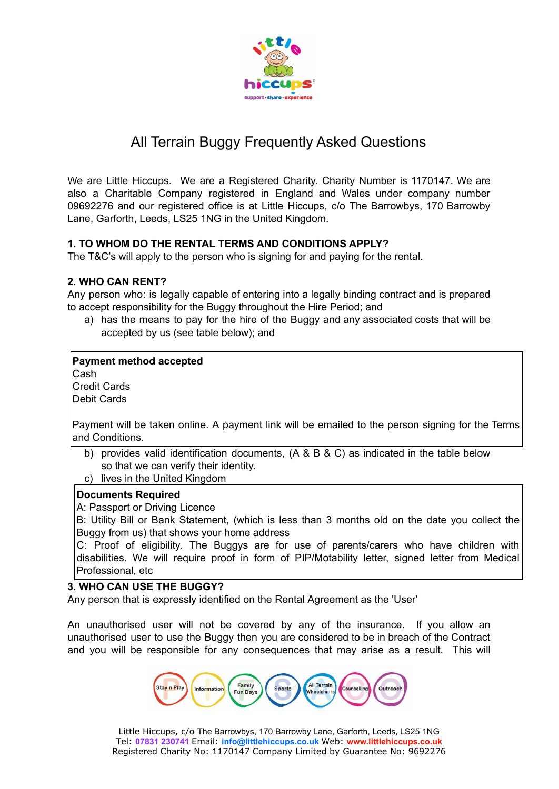

# All Terrain Buggy Frequently Asked Questions

We are Little Hiccups. We are a Registered Charity. Charity Number is 1170147. We are also a Charitable Company registered in England and Wales under company number 09692276 and our registered office is at Little Hiccups, c/o The Barrowbys, 170 Barrowby Lane, Garforth, Leeds, LS25 1NG in the United Kingdom.

# **1. TO WHOM DO THE RENTAL TERMS AND CONDITIONS APPLY?**

The T&C's will apply to the person who is signing for and paying for the rental.

# **2. WHO CAN RENT?**

Any person who: is legally capable of entering into a legally binding contract and is prepared to accept responsibility for the Buggy throughout the Hire Period; and

a) has the means to pay for the hire of the Buggy and any associated costs that will be accepted by us (see table below); and

# **Payment method accepted**

Cash Credit Cards Debit Cards

Payment will be taken online. A payment link will be emailed to the person signing for the Terms and Conditions.

- b) provides valid identification documents, (A & B & C) as indicated in the table below so that we can verify their identity.
- c) lives in the United Kingdom

# **Documents Required**

A: Passport or Driving Licence

B: Utility Bill or Bank Statement, (which is less than 3 months old on the date you collect the Buggy from us) that shows your home address

C: Proof of eligibility. The Buggys are for use of parents/carers who have children with disabilities. We will require proof in form of PIP/Motability letter, signed letter from Medical Professional, etc

# **3. WHO CAN USE THE BUGGY?**

Any person that is expressly identified on the Rental Agreement as the 'User'

An unauthorised user will not be covered by any of the insurance. If you allow an unauthorised user to use the Buggy then you are considered to be in breach of the Contract and you will be responsible for any consequences that may arise as a result. This will

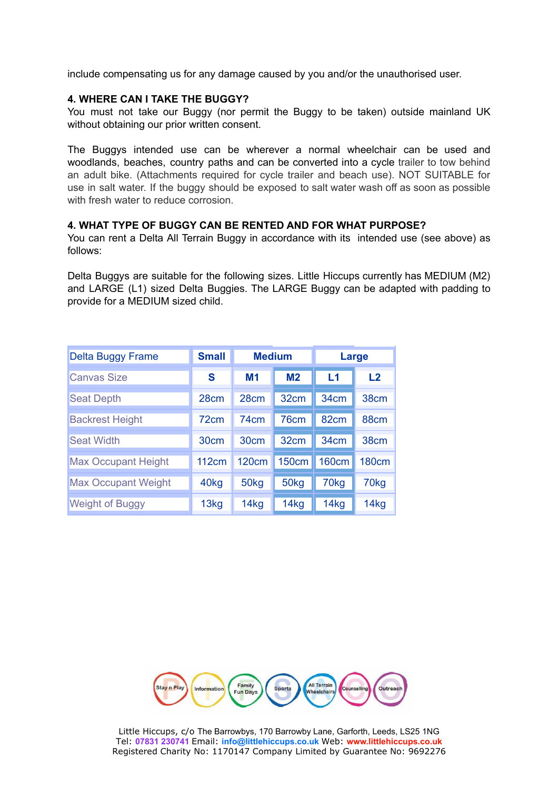include compensating us for any damage caused by you and/or the unauthorised user.

#### **4. WHERE CAN I TAKE THE BUGGY?**

You must not take our Buggy (nor permit the Buggy to be taken) outside mainland UK without obtaining our prior written consent.

The Buggys intended use can be wherever a normal wheelchair can be used and woodlands, beaches, country paths and can be converted into a cycle trailer to tow behind an adult bike. (Attachments required for cycle trailer and beach use). NOT SUITABLE for use in salt water. If the buggy should be exposed to salt water wash off as soon as possible with fresh water to reduce corrosion.

#### **4. WHAT TYPE OF BUGGY CAN BE RENTED AND FOR WHAT PURPOSE?**

You can rent a Delta All Terrain Buggy in accordance with its intended use (see above) as follows:

Delta Buggys are suitable for the following sizes. Little Hiccups currently has MEDIUM (M2) and LARGE (L1) sized Delta Buggies. The LARGE Buggy can be adapted with padding to provide for a MEDIUM sized child.

| <b>Delta Buggy Frame</b>   | <b>Small</b>     | <b>Medium</b>    |                  | Large            |                  |
|----------------------------|------------------|------------------|------------------|------------------|------------------|
| <b>Canvas Size</b>         | S                | M <sub>1</sub>   | M <sub>2</sub>   | L1               | L2               |
| <b>Seat Depth</b>          | 28cm             | 28cm             | 32 <sub>cm</sub> | 34cm             | 38 <sub>cm</sub> |
| <b>Backrest Height</b>     | 72 <sub>cm</sub> | 74cm             | 76 <sub>cm</sub> | 82 <sub>cm</sub> | 88 <sub>cm</sub> |
| <b>Seat Width</b>          | 30cm             | 30cm             | 32 <sub>cm</sub> | 34cm             | 38 <sub>cm</sub> |
| <b>Max Occupant Height</b> | 112cm            | <b>120cm</b>     | <b>150cm</b>     | <b>160cm</b>     | <b>180cm</b>     |
| <b>Max Occupant Weight</b> | 40 <sub>kg</sub> | 50 <sub>kg</sub> | 50 <sub>kg</sub> | 70 <sub>kg</sub> | 70 <sub>kg</sub> |
| <b>Weight of Buggy</b>     | 13kg             | 14 <sub>kg</sub> | 14kg             | 14kg             | 14kg             |



Little Hiccups, c/o The Barrowbys, 170 Barrowby Lane, Garforth, Leeds, LS25 1NG Tel: **07831 230741** Email: **info@littlehiccups.co.uk** Web: **www.littlehiccups.co.uk** Registered Charity No: 1170147 Company Limited by Guarantee No: 9692276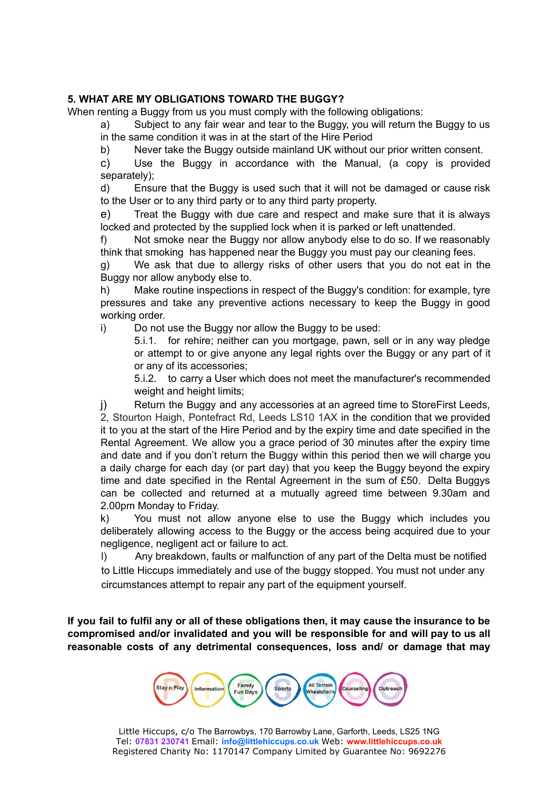# **5. WHAT ARE MY OBLIGATIONS TOWARD THE BUGGY?**

When renting a Buggy from us you must comply with the following obligations:

a) Subject to any fair wear and tear to the Buggy, you will return the Buggy to us in the same condition it was in at the start of the Hire Period

b) Never take the Buggy outside mainland UK without our prior written consent.

c) Use the Buggy in accordance with the Manual, (a copy is provided separately);

d) Ensure that the Buggy is used such that it will not be damaged or cause risk to the User or to any third party or to any third party property.

e) Treat the Buggy with due care and respect and make sure that it is always locked and protected by the supplied lock when it is parked or left unattended.

f) Not smoke near the Buggy nor allow anybody else to do so. If we reasonably think that smoking has happened near the Buggy you must pay our cleaning fees.

g) We ask that due to allergy risks of other users that you do not eat in the Buggy nor allow anybody else to.

h) Make routine inspections in respect of the Buggy's condition: for example, tyre pressures and take any preventive actions necessary to keep the Buggy in good working order.

i) Do not use the Buggy nor allow the Buggy to be used:

5.i.1. for rehire; neither can you mortgage, pawn, sell or in any way pledge or attempt to or give anyone any legal rights over the Buggy or any part of it or any of its accessories;

5.i.2. to carry a User which does not meet the manufacturer's recommended weight and height limits;

j) Return the Buggy and any accessories at an agreed time to StoreFirst Leeds, 2, Stourton Haigh, Pontefract Rd, Leeds LS10 1AX in the condition that we provided it to you at the start of the Hire Period and by the expiry time and date specified in the Rental Agreement. We allow you a grace period of 30 minutes after the expiry time and date and if you don't return the Buggy within this period then we will charge you a daily charge for each day (or part day) that you keep the Buggy beyond the expiry time and date specified in the Rental Agreement in the sum of £50. Delta Buggys can be collected and returned at a mutually agreed time between 9.30am and 2.00pm Monday to Friday.

k) You must not allow anyone else to use the Buggy which includes you deliberately allowing access to the Buggy or the access being acquired due to your negligence, negligent act or failure to act.

l) Any breakdown, faults or malfunction of any part of the Delta must be notified to Little Hiccups immediately and use of the buggy stopped. You must not under any circumstances attempt to repair any part of the equipment yourself.

If you fail to fulfil any or all of these obligations then, it may cause the insurance to be **compromised and/or invalidated and you will be responsible for and will pay to us all reasonable costs of any detrimental consequences, loss and/ or damage that may**

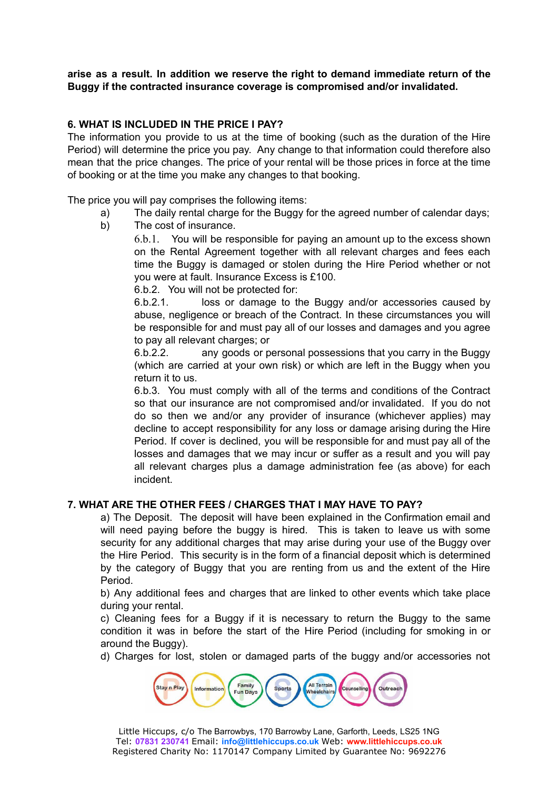**arise as a result. In addition we reserve the right to demand immediate return of the Buggy if the contracted insurance coverage is compromised and/or invalidated.**

## **6. WHAT IS INCLUDED IN THE PRICE I PAY?**

The information you provide to us at the time of booking (such as the duration of the Hire Period) will determine the price you pay. Any change to that information could therefore also mean that the price changes. The price of your rental will be those prices in force at the time of booking or at the time you make any changes to that booking.

The price you will pay comprises the following items:

- a) The daily rental charge for the Buggy for the agreed number of calendar days;
- b) The cost of insurance.

6.b.1. You will be responsible for paying an amount up to the excess shown on the Rental Agreement together with all relevant charges and fees each time the Buggy is damaged or stolen during the Hire Period whether or not you were at fault. Insurance Excess is £100.

6.b.2. You will not be protected for:

6.b.2.1. loss or damage to the Buggy and/or accessories caused by abuse, negligence or breach of the Contract. In these circumstances you will be responsible for and must pay all of our losses and damages and you agree to pay all relevant charges; or

6.b.2.2. any goods or personal possessions that you carry in the Buggy (which are carried at your own risk) or which are left in the Buggy when you return it to us.

6.b.3. You must comply with all of the terms and conditions of the Contract so that our insurance are not compromised and/or invalidated. If you do not do so then we and/or any provider of insurance (whichever applies) may decline to accept responsibility for any loss or damage arising during the Hire Period. If cover is declined, you will be responsible for and must pay all of the losses and damages that we may incur or suffer as a result and you will pay all relevant charges plus a damage administration fee (as above) for each incident.

### **7. WHAT ARE THE OTHER FEES / CHARGES THAT I MAY HAVE TO PAY?**

a) The Deposit. The deposit will have been explained in the Confirmation email and will need paying before the buggy is hired. This is taken to leave us with some security for any additional charges that may arise during your use of the Buggy over the Hire Period. This security is in the form of a financial deposit which is determined by the category of Buggy that you are renting from us and the extent of the Hire Period.

b) Any additional fees and charges that are linked to other events which take place during your rental.

c) Cleaning fees for a Buggy if it is necessary to return the Buggy to the same condition it was in before the start of the Hire Period (including for smoking in or around the Buggy).

d) Charges for lost, stolen or damaged parts of the buggy and/or accessories not

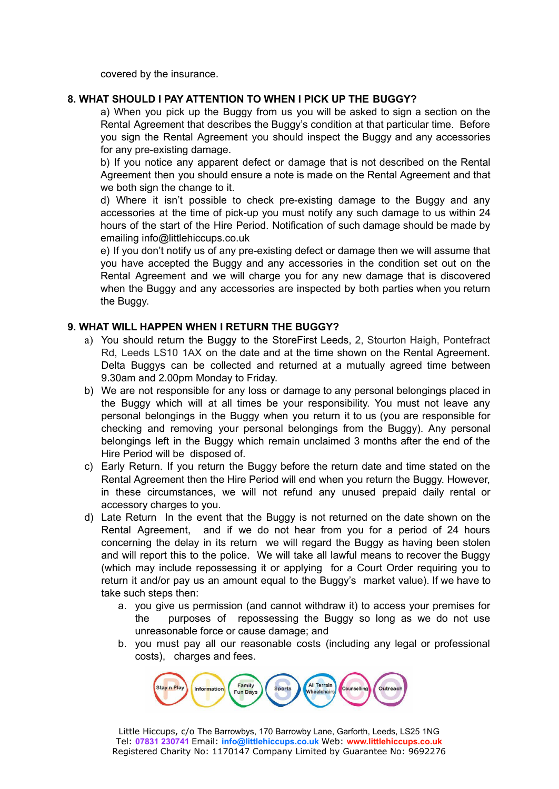covered by the insurance.

## **8. WHAT SHOULD I PAY ATTENTION TO WHEN I PICK UP THE BUGGY?**

a) When you pick up the Buggy from us you will be asked to sign a section on the Rental Agreement that describes the Buggy's condition at that particular time. Before you sign the Rental Agreement you should inspect the Buggy and any accessories for any pre-existing damage.

b) If you notice any apparent defect or damage that is not described on the Rental Agreement then you should ensure a note is made on the Rental Agreement and that we both sign the change to it.

d) Where it isn't possible to check pre-existing damage to the Buggy and any accessories at the time of pick-up you must notify any such damage to us within 24 hours of the start of the Hire Period. Notification of such damage should be made by emailing info@littlehiccups.co.uk

e) If you don't notify us of any pre-existing defect or damage then we will assume that you have accepted the Buggy and any accessories in the condition set out on the Rental Agreement and we will charge you for any new damage that is discovered when the Buggy and any accessories are inspected by both parties when you return the Buggy.

### **9. WHAT WILL HAPPEN WHEN I RETURN THE BUGGY?**

- a) You should return the Buggy to the StoreFirst Leeds, 2, Stourton Haigh, Pontefract Rd, Leeds LS10 1AX on the date and at the time shown on the Rental Agreement. Delta Buggys can be collected and returned at a mutually agreed time between 9.30am and 2.00pm Monday to Friday.
- b) We are not responsible for any loss or damage to any personal belongings placed in the Buggy which will at all times be your responsibility. You must not leave any personal belongings in the Buggy when you return it to us (you are responsible for checking and removing your personal belongings from the Buggy). Any personal belongings left in the Buggy which remain unclaimed 3 months after the end of the Hire Period will be disposed of.
- c) Early Return. If you return the Buggy before the return date and time stated on the Rental Agreement then the Hire Period will end when you return the Buggy. However, in these circumstances, we will not refund any unused prepaid daily rental or accessory charges to you.
- d) Late Return In the event that the Buggy is not returned on the date shown on the Rental Agreement, and if we do not hear from you for a period of 24 hours concerning the delay in its return we will regard the Buggy as having been stolen and will report this to the police. We will take all lawful means to recover the Buggy (which may include repossessing it or applying for a Court Order requiring you to return it and/or pay us an amount equal to the Buggy's market value). If we have to take such steps then:
	- a. you give us permission (and cannot withdraw it) to access your premises for the purposes of repossessing the Buggy so long as we do not use unreasonable force or cause damage; and
	- b. you must pay all our reasonable costs (including any legal or professional costs), charges and fees.

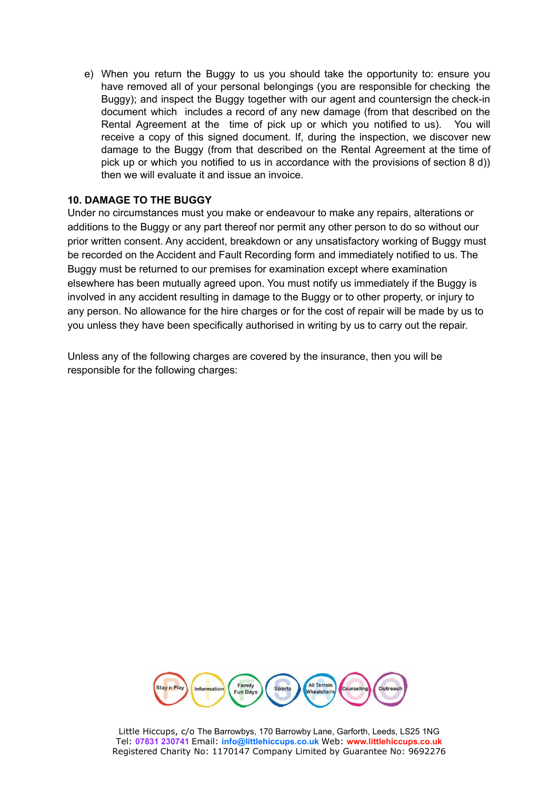e) When you return the Buggy to us you should take the opportunity to: ensure you have removed all of your personal belongings (you are responsible for checking the Buggy); and inspect the Buggy together with our agent and countersign the check-in document which includes a record of any new damage (from that described on the Rental Agreement at the time of pick up or which you notified to us). You will receive a copy of this signed document. If, during the inspection, we discover new damage to the Buggy (from that described on the Rental Agreement at the time of pick up or which you notified to us in accordance with the provisions of section 8 d)) then we will evaluate it and issue an invoice.

### **10. DAMAGE TO THE BUGGY**

Under no circumstances must you make or endeavour to make any repairs, alterations or additions to the Buggy or any part thereof nor permit any other person to do so without our prior written consent. Any accident, breakdown or any unsatisfactory working of Buggy must be recorded on the Accident and Fault Recording form and immediately notified to us. The Buggy must be returned to our premises for examination except where examination elsewhere has been mutually agreed upon. You must notify us immediately if the Buggy is involved in any accident resulting in damage to the Buggy or to other property, or injury to any person. No allowance for the hire charges or for the cost of repair will be made by us to you unless they have been specifically authorised in writing by us to carry out the repair.

Unless any of the following charges are covered by the insurance, then you will be responsible for the following charges:



Little Hiccups, c/o The Barrowbys, 170 Barrowby Lane, Garforth, Leeds, LS25 1NG Tel: **07831 230741** Email: **info@littlehiccups.co.uk** Web: **www.littlehiccups.co.uk** Registered Charity No: 1170147 Company Limited by Guarantee No: 9692276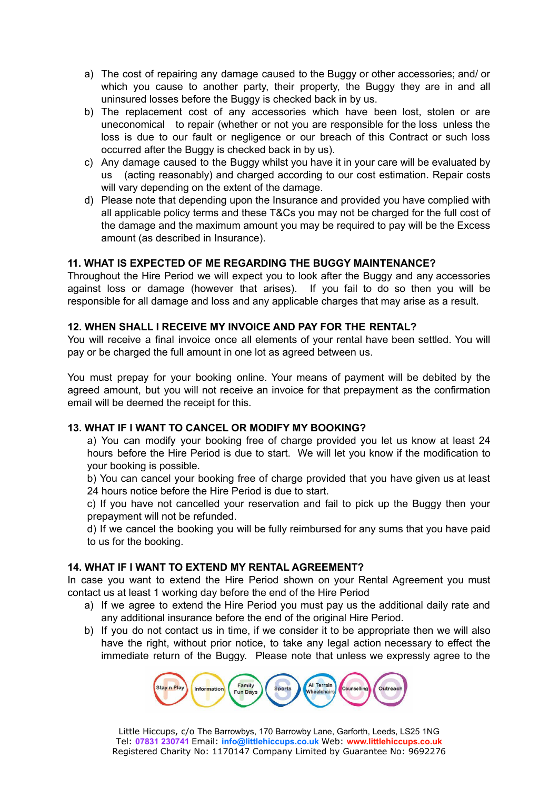- a) The cost of repairing any damage caused to the Buggy or other accessories; and/ or which you cause to another party, their property, the Buggy they are in and all uninsured losses before the Buggy is checked back in by us.
- b) The replacement cost of any accessories which have been lost, stolen or are uneconomical to repair (whether or not you are responsible for the loss unless the loss is due to our fault or negligence or our breach of this Contract or such loss occurred after the Buggy is checked back in by us).
- c) Any damage caused to the Buggy whilst you have it in your care will be evaluated by us (acting reasonably) and charged according to our cost estimation. Repair costs will vary depending on the extent of the damage.
- d) Please note that depending upon the Insurance and provided you have complied with all applicable policy terms and these T&Cs you may not be charged for the full cost of the damage and the maximum amount you may be required to pay will be the Excess amount (as described in Insurance).

## **11. WHAT IS EXPECTED OF ME REGARDING THE BUGGY MAINTENANCE?**

Throughout the Hire Period we will expect you to look after the Buggy and any accessories against loss or damage (however that arises). If you fail to do so then you will be responsible for all damage and loss and any applicable charges that may arise as a result.

### **12. WHEN SHALL I RECEIVE MY INVOICE AND PAY FOR THE RENTAL?**

You will receive a final invoice once all elements of your rental have been settled. You will pay or be charged the full amount in one lot as agreed between us.

You must prepay for your booking online. Your means of payment will be debited by the agreed amount, but you will not receive an invoice for that prepayment as the confirmation email will be deemed the receipt for this.

# **13. WHAT IF I WANT TO CANCEL OR MODIFY MY BOOKING?**

a) You can modify your booking free of charge provided you let us know at least 24 hours before the Hire Period is due to start. We will let you know if the modification to your booking is possible.

b) You can cancel your booking free of charge provided that you have given us at least 24 hours notice before the Hire Period is due to start.

c) If you have not cancelled your reservation and fail to pick up the Buggy then your prepayment will not be refunded.

d) If we cancel the booking you will be fully reimbursed for any sums that you have paid to us for the booking.

### **14. WHAT IF I WANT TO EXTEND MY RENTAL AGREEMENT?**

In case you want to extend the Hire Period shown on your Rental Agreement you must contact us at least 1 working day before the end of the Hire Period

- a) If we agree to extend the Hire Period you must pay us the additional daily rate and any additional insurance before the end of the original Hire Period.
- b) If you do not contact us in time, if we consider it to be appropriate then we will also have the right, without prior notice, to take any legal action necessary to effect the immediate return of the Buggy. Please note that unless we expressly agree to the